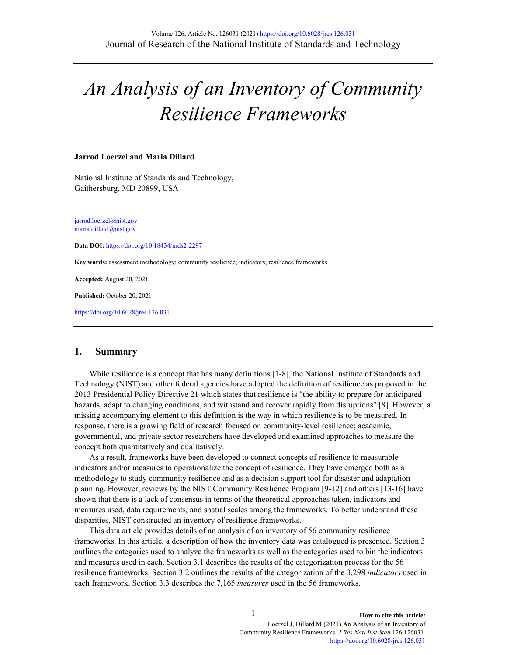# *An Analysis of an Inventory of Community Resilience Frameworks*

#### **Jarrod Loerzel and Maria Dillard**

National Institute of Standards and Technology, Gaithersburg, MD 20899, USA

[jarrod.loerzel@nist.gov](mailto:jarrod.loerzel@nist.gov) [maria.dillard@nist.gov](mailto:maria.dillard@nist.gov)

**Data DOI:** [https://doi.org/10.18434/mds2-2](https://doi.org/10.18434/mds2-2297)[297](https://data.nist.gov/od/id/mds2-2297)

**Key words:** assessment methodology; community resilience; indicators; resilience frameworks.

**Accepted:** August 20, 2021

**Published:** October 20, 2021

<https://doi.org/10.6028/jres.126.031>

#### **1. Summary**

While resilience is a concept that has many definitions [1-8], the National Institute of Standards and Technology (NIST) and other federal agencies have adopted the definition of resilience as proposed in the 2013 Presidential Policy Directive 21 which states that resilience is "the ability to prepare for anticipated hazards, adapt to changing conditions, and withstand and recover rapidly from disruptions" [8]. However, a missing accompanying element to this definition is the way in which resilience is to be measured. In response, there is a growing field of research focused on community-level resilience; academic, governmental, and private sector researchers have developed and examined approaches to measure the concept both quantitatively and qualitatively.

As a result, frameworks have been developed to connect concepts of resilience to measurable indicators and/or measures to operationalize the concept of resilience. They have emerged both as a methodology to study community resilience and as a decision support tool for disaster and adaptation planning. However, reviews by the NIST Community Resilience Program [9-12] and others [13-16] have shown that there is a lack of consensus in terms of the theoretical approaches taken, indicators and measures used, data requirements, and spatial scales among the frameworks. To better understand these disparities, NIST constructed an inventory of resilience frameworks.

This data article provides details of an analysis of an inventory of 56 community resilience frameworks. In this article, a description of how the inventory data was catalogued is presented. Section 3 outlines the categories used to analyze the frameworks as well as the categories used to bin the indicators and measures used in each. Section 3.1 describes the results of the categorization process for the 56 resilience frameworks. Section 3.2 outlines the results of the categorization of the 3,298 *indicators* used in each framework. Section 3.3 describes the 7,165 *measures* used in the 56 frameworks.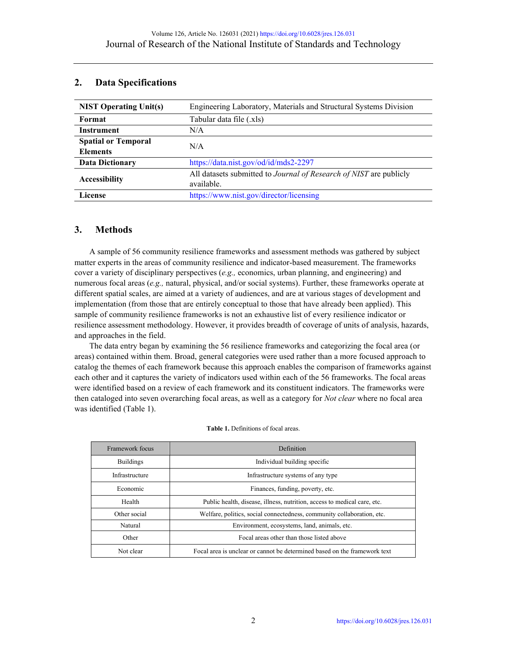# **2. Data Specifications**

| <b>NIST Operating Unit(s)</b> | Engineering Laboratory, Materials and Structural Systems Division  |  |  |  |
|-------------------------------|--------------------------------------------------------------------|--|--|--|
| Format                        | Tabular data file (.xls)                                           |  |  |  |
| Instrument                    | N/A                                                                |  |  |  |
| <b>Spatial or Temporal</b>    | N/A                                                                |  |  |  |
| <b>Elements</b>               |                                                                    |  |  |  |
| <b>Data Dictionary</b>        | https://data.nist.gov/od/id/mds2-2297                              |  |  |  |
| <b>Accessibility</b>          | All datasets submitted to Journal of Research of NIST are publicly |  |  |  |
|                               | available.                                                         |  |  |  |
| License                       | https://www.nist.gov/director/licensing                            |  |  |  |

# **3. Methods**

A sample of 56 community resilience frameworks and assessment methods was gathered by subject matter experts in the areas of community resilience and indicator-based measurement. The frameworks cover a variety of disciplinary perspectives (*e.g.,* economics, urban planning, and engineering) and numerous focal areas (*e.g.,* natural, physical, and/or social systems). Further, these frameworks operate at different spatial scales, are aimed at a variety of audiences, and are at various stages of development and implementation (from those that are entirely conceptual to those that have already been applied). This sample of community resilience frameworks is not an exhaustive list of every resilience indicator or resilience assessment methodology. However, it provides breadth of coverage of units of analysis, hazards, and approaches in the field.

The data entry began by examining the 56 resilience frameworks and categorizing the focal area (or areas) contained within them. Broad, general categories were used rather than a more focused approach to catalog the themes of each framework because this approach enables the comparison of frameworks against each other and it captures the variety of indicators used within each of the 56 frameworks. The focal areas were identified based on a review of each framework and its constituent indicators. The frameworks were then cataloged into seven overarching focal areas, as well as a category for *Not clear* where no focal area was identified (Table 1).

| Framework focus  | Definition                                                                |  |
|------------------|---------------------------------------------------------------------------|--|
| <b>Buildings</b> | Individual building specific                                              |  |
| Infrastructure   | Infrastructure systems of any type                                        |  |
| Economic         | Finances, funding, poverty, etc.                                          |  |
| Health           | Public health, disease, illness, nutrition, access to medical care, etc.  |  |
| Other social     | Welfare, politics, social connectedness, community collaboration, etc.    |  |
| Natural          | Environment, ecosystems, land, animals, etc.                              |  |
| Other            | Focal areas other than those listed above                                 |  |
| Not clear        | Focal area is unclear or cannot be determined based on the framework text |  |

| <b>Table 1.</b> Definitions of focal areas. |  |  |
|---------------------------------------------|--|--|
|---------------------------------------------|--|--|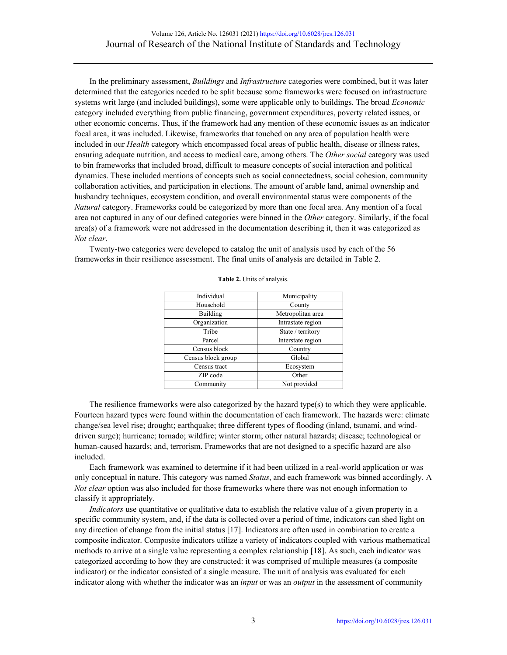In the preliminary assessment, *Buildings* and *Infrastructure* categories were combined, but it was later determined that the categories needed to be split because some frameworks were focused on infrastructure systems writ large (and included buildings), some were applicable only to buildings. The broad *Economic* category included everything from public financing, government expenditures, poverty related issues, or other economic concerns. Thus, if the framework had any mention of these economic issues as an indicator focal area, it was included. Likewise, frameworks that touched on any area of population health were included in our *Health* category which encompassed focal areas of public health, disease or illness rates, ensuring adequate nutrition, and access to medical care, among others. The *Other social* category was used to bin frameworks that included broad, difficult to measure concepts of social interaction and political dynamics. These included mentions of concepts such as social connectedness, social cohesion, community collaboration activities, and participation in elections. The amount of arable land, animal ownership and husbandry techniques, ecosystem condition, and overall environmental status were components of the *Natural* category. Frameworks could be categorized by more than one focal area. Any mention of a focal area not captured in any of our defined categories were binned in the *Other* category. Similarly, if the focal area(s) of a framework were not addressed in the documentation describing it, then it was categorized as *Not clear*.

Twenty-two categories were developed to catalog the unit of analysis used by each of the 56 frameworks in their resilience assessment. The final units of analysis are detailed in Table 2.

| Individual         | Municipality      |
|--------------------|-------------------|
| Household          | County            |
| Building           | Metropolitan area |
| Organization       | Intrastate region |
| Tribe              | State / territory |
| Parcel             | Interstate region |
| Census block       | Country           |
| Census block group | Global            |
| Census tract       | Ecosystem         |
| ZIP code           | Other             |
| Community          | Not provided      |

#### **Table 2.** Units of analysis.

The resilience frameworks were also categorized by the hazard type(s) to which they were applicable. Fourteen hazard types were found within the documentation of each framework. The hazards were: climate change/sea level rise; drought; earthquake; three different types of flooding (inland, tsunami, and winddriven surge); hurricane; tornado; wildfire; winter storm; other natural hazards; disease; technological or human-caused hazards; and, terrorism. Frameworks that are not designed to a specific hazard are also included.

Each framework was examined to determine if it had been utilized in a real-world application or was only conceptual in nature. This category was named *Status*, and each framework was binned accordingly. A *Not clear* option was also included for those frameworks where there was not enough information to classify it appropriately.

*Indicators* use quantitative or qualitative data to establish the relative value of a given property in a specific community system, and, if the data is collected over a period of time, indicators can shed light on any direction of change from the initial status [17]. Indicators are often used in combination to create a composite indicator. Composite indicators utilize a variety of indicators coupled with various mathematical methods to arrive at a single value representing a complex relationship [18]. As such, each indicator was categorized according to how they are constructed: it was comprised of multiple measures (a composite indicator) or the indicator consisted of a single measure. The unit of analysis was evaluated for each indicator along with whether the indicator was an *input* or was an *output* in the assessment of community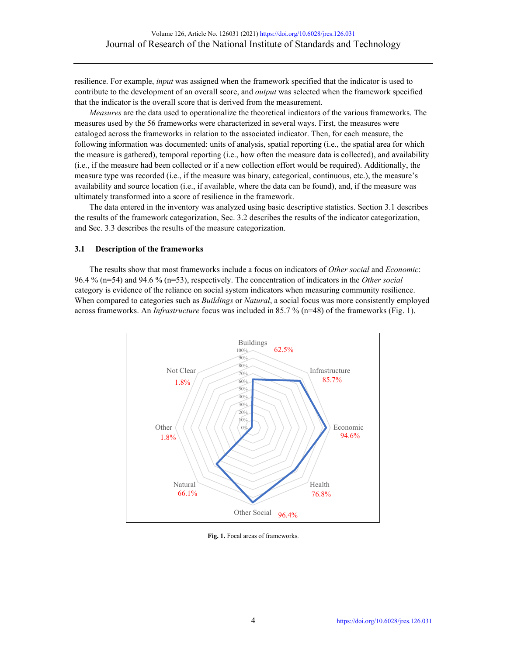resilience. For example, *input* was assigned when the framework specified that the indicator is used to contribute to the development of an overall score, and *output* was selected when the framework specified that the indicator is the overall score that is derived from the measurement.

*Measures* are the data used to operationalize the theoretical indicators of the various frameworks. The measures used by the 56 frameworks were characterized in several ways. First, the measures were cataloged across the frameworks in relation to the associated indicator. Then, for each measure, the following information was documented: units of analysis, spatial reporting (i.e., the spatial area for which the measure is gathered), temporal reporting (i.e., how often the measure data is collected), and availability (i.e., if the measure had been collected or if a new collection effort would be required). Additionally, the measure type was recorded (i.e., if the measure was binary, categorical, continuous, etc.), the measure's availability and source location (i.e., if available, where the data can be found), and, if the measure was ultimately transformed into a score of resilience in the framework.

The data entered in the inventory was analyzed using basic descriptive statistics. Section 3.1 describes the results of the framework categorization, Sec. 3.2 describes the results of the indicator categorization, and Sec. 3.3 describes the results of the measure categorization.

#### **3.1 Description of the frameworks**

The results show that most frameworks include a focus on indicators of *Other social* and *Economic*: 96.4 % (n=54) and 94.6 % (n=53), respectively. The concentration of indicators in the *Other social* category is evidence of the reliance on social system indicators when measuring community resilience. When compared to categories such as *Buildings* or *Natural*, a social focus was more consistently employed across frameworks. An *Infrastructure* focus was included in 85.7 % (n=48) of the frameworks (Fig. 1).



**Fig. 1.** Focal areas of frameworks.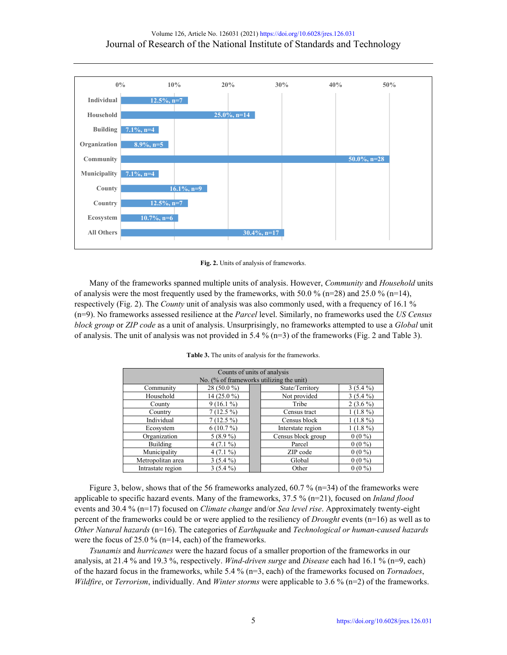

**Fig. 2.** Units of analysis of frameworks.

Many of the frameworks spanned multiple units of analysis. However, *Community* and *Household* units of analysis were the most frequently used by the frameworks, with 50.0 % (n=28) and 25.0 % (n=14), respectively (Fig. 2). The *County* unit of analysis was also commonly used, with a frequency of 16.1 % (n=9). No frameworks assessed resilience at the *Parcel* level. Similarly, no frameworks used the *US Census block group* or *ZIP code* as a unit of analysis. Unsurprisingly, no frameworks attempted to use a *Global* unit of analysis. The unit of analysis was not provided in 5.4 % (n=3) of the frameworks (Fig. 2 and Table 3).

| Counts of units of analysis<br>No. (% of frameworks utilizing the unit) |                                 |                    |              |            |
|-------------------------------------------------------------------------|---------------------------------|--------------------|--------------|------------|
| Community                                                               | 28 (50.0 %)<br>State/Territory  |                    |              | $3(5.4\%)$ |
| Household                                                               | 14 (25.0 %)                     |                    | Not provided | $3(5.4\%)$ |
| County                                                                  | $9(16.1\%)$                     |                    | Tribe        | $2(3.6\%)$ |
| Country                                                                 | $7(12.5\%)$                     | Census tract       |              | $1(1.8\%)$ |
| Individual                                                              | $7(12.5\%)$                     | Census block       |              | $1(1.8\%)$ |
| Ecosystem                                                               | $6(10.7\%)$                     | Interstate region  |              | $1(1.8\%)$ |
| Organization                                                            | $5(8.9\%)$                      | Census block group |              | $0(0\%)$   |
| Building                                                                | $4(7.1\%)$                      | Parcel             |              | $0(0\%)$   |
| Municipality                                                            | $4(7.1\%)$                      | ZIP code           |              | $0(0\%)$   |
| Metropolitan area                                                       | $3(5.4\%)$                      | Global<br>$0(0\%)$ |              |            |
| Intrastate region                                                       | $3(5.4\%)$<br>$0(0\%)$<br>Other |                    |              |            |

**Table 3.** The units of analysis for the frameworks.

Figure 3, below, shows that of the 56 frameworks analyzed, 60.7 % ( $n=34$ ) of the frameworks were applicable to specific hazard events. Many of the frameworks, 37.5 % (n=21), focused on *Inland flood* events and 30.4 % (n=17) focused on *Climate change* and/or *Sea level rise*. Approximately twenty-eight percent of the frameworks could be or were applied to the resiliency of *Drought* events (n=16) as well as to *Other Natural hazards* (n=16). The categories of *Earthquake* and *Technological or human-caused hazards* were the focus of 25.0 % (n=14, each) of the frameworks.

*Tsunamis* and *hurricanes* were the hazard focus of a smaller proportion of the frameworks in our analysis, at 21.4 % and 19.3 %, respectively. *Wind-driven surge* and *Disease* each had 16.1 % (n=9, each) of the hazard focus in the frameworks, while 5.4 % (n=3, each) of the frameworks focused on *Tornadoes*, *Wildfire*, or *Terrorism*, individually. And *Winter storms* were applicable to 3.6 % (n=2) of the frameworks.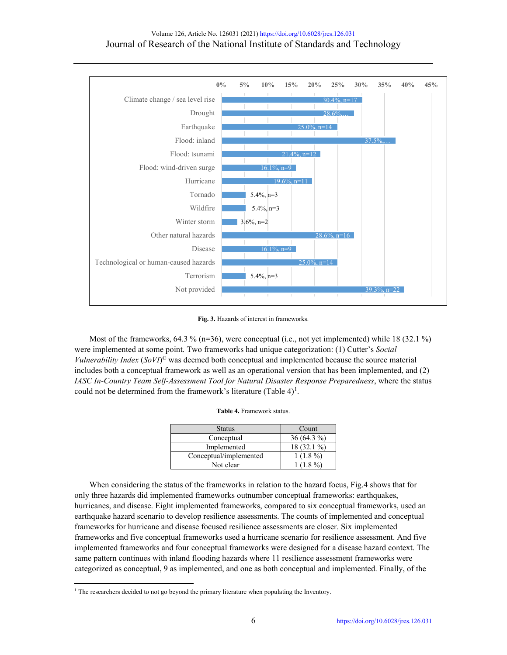

**Fig. 3.** Hazards of interest in frameworks.

Most of the frameworks, 64.3 % ( $n=36$ ), were conceptual (i.e., not yet implemented) while 18 (32.1 %) were implemented at some point. Two frameworks had unique categorization: (1) Cutter's *Social Vulnerability Index* (*SoVI*) © was deemed both conceptual and implemented because the source material includes both a conceptual framework as well as an operational version that has been implemented, and (2) *IASC In-Country Team Self-Assessment Tool for Natural Disaster Response Preparedness*, where the status could not be determined from the framework's literature (Table  $4)^{1}$  $4)^{1}$  $4)^{1}$ .

| <b>Status</b>          | Count        |
|------------------------|--------------|
| Conceptual             | $36(64.3\%)$ |
| Implemented            | 18 (32.1 %)  |
| Conceptual/implemented | $1(1.8\%)$   |
| Not clear              | $1(1.8\%)$   |

When considering the status of the frameworks in relation to the hazard focus, Fig.4 shows that for only three hazards did implemented frameworks outnumber conceptual frameworks: earthquakes, hurricanes, and disease. Eight implemented frameworks, compared to six conceptual frameworks, used an earthquake hazard scenario to develop resilience assessments. The counts of implemented and conceptual frameworks for hurricane and disease focused resilience assessments are closer. Six implemented frameworks and five conceptual frameworks used a hurricane scenario for resilience assessment. And five implemented frameworks and four conceptual frameworks were designed for a disease hazard context. The same pattern continues with inland flooding hazards where 11 resilience assessment frameworks were categorized as conceptual, 9 as implemented, and one as both conceptual and implemented. Finally, of the

<span id="page-5-0"></span><sup>&</sup>lt;sup>1</sup> The researchers decided to not go beyond the primary literature when populating the Inventory.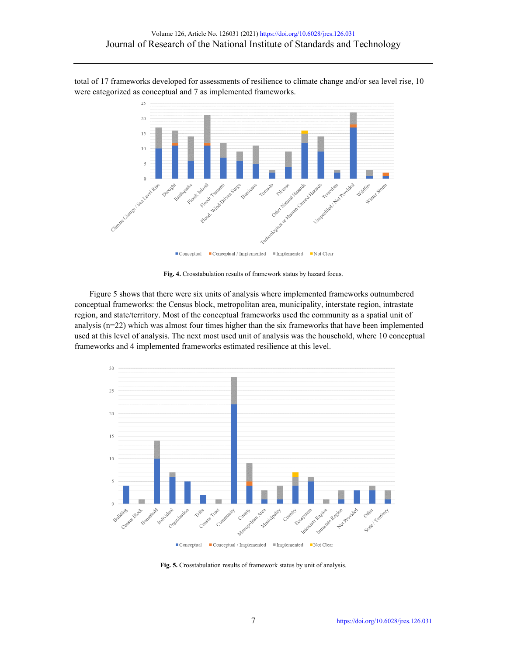total of 17 frameworks developed for assessments of resilience to climate change and/or sea level rise, 10 were categorized as conceptual and 7 as implemented frameworks.



**Fig. 4.** Crosstabulation results of framework status by hazard focus.

Figure 5 shows that there were six units of analysis where implemented frameworks outnumbered conceptual frameworks: the Census block, metropolitan area, municipality, interstate region, intrastate region, and state/territory. Most of the conceptual frameworks used the community as a spatial unit of analysis (n=22) which was almost four times higher than the six frameworks that have been implemented used at this level of analysis. The next most used unit of analysis was the household, where 10 conceptual frameworks and 4 implemented frameworks estimated resilience at this level.



 $\blacksquare$  Conceptual  $\quad \ \ \blacksquare \textsc{Conceptual} \texttt{ / Implemented } \texttt{ } \blacksquare \textsc{Implemented } \texttt{ } \blacksquare \textsc{Not Clear }$ 

Fig. 5. Crosstabulation results of framework status by unit of analysis.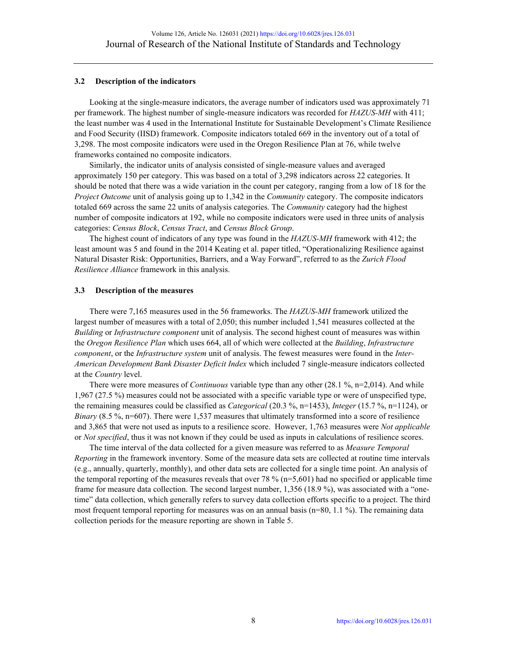## **3.2 Description of the indicators**

Looking at the single-measure indicators, the average number of indicators used was approximately 71 per framework. The highest number of single-measure indicators was recorded for *HAZUS-MH* with 411; the least number was 4 used in the International Institute for Sustainable Development's Climate Resilience and Food Security (IISD) framework. Composite indicators totaled 669 in the inventory out of a total of 3,298. The most composite indicators were used in the Oregon Resilience Plan at 76, while twelve frameworks contained no composite indicators.

Similarly, the indicator units of analysis consisted of single-measure values and averaged approximately 150 per category. This was based on a total of 3,298 indicators across 22 categories. It should be noted that there was a wide variation in the count per category, ranging from a low of 18 for the *Project Outcome* unit of analysis going up to 1,342 in the *Community* category. The composite indicators totaled 669 across the same 22 units of analysis categories. The *Community* category had the highest number of composite indicators at 192, while no composite indicators were used in three units of analysis categories: *Census Block*, *Census Tract*, and *Census Block Group*.

The highest count of indicators of any type was found in the *HAZUS-MH* framework with 412; the least amount was 5 and found in the 2014 Keating et al. paper titled, "Operationalizing Resilience against Natural Disaster Risk: Opportunities, Barriers, and a Way Forward", referred to as the *Zurich Flood Resilience Alliance* framework in this analysis.

## **3.3 Description of the measures**

There were 7,165 measures used in the 56 frameworks. The *HAZUS-MH* framework utilized the largest number of measures with a total of 2,050; this number included 1,541 measures collected at the *Building* or *Infrastructure component* unit of analysis. The second highest count of measures was within the *Oregon Resilience Plan* which uses 664, all of which were collected at the *Building*, *Infrastructure component*, or the *Infrastructure system* unit of analysis. The fewest measures were found in the *Inter-American Development Bank Disaster Deficit Index* which included 7 single-measure indicators collected at the *Country* level.

There were more measures of *Continuous* variable type than any other (28.1 %, n=2,014). And while 1,967 (27.5 %) measures could not be associated with a specific variable type or were of unspecified type, the remaining measures could be classified as *Categorical* (20.3 %, n=1453), *Integer* (15.7 %, n=1124), or *Binary* (8.5 %, n=607). There were 1,537 measures that ultimately transformed into a score of resilience and 3,865 that were not used as inputs to a resilience score. However, 1,763 measures were *Not applicable* or *Not specified*, thus it was not known if they could be used as inputs in calculations of resilience scores.

The time interval of the data collected for a given measure was referred to as *Measure Temporal Reporting* in the framework inventory. Some of the measure data sets are collected at routine time intervals (e.g., annually, quarterly, monthly), and other data sets are collected for a single time point. An analysis of the temporal reporting of the measures reveals that over 78 %  $(n=5,601)$  had no specified or applicable time frame for measure data collection. The second largest number, 1,356 (18.9 %), was associated with a "onetime" data collection, which generally refers to survey data collection efforts specific to a project. The third most frequent temporal reporting for measures was on an annual basis ( $n=80$ , 1.1 %). The remaining data collection periods for the measure reporting are shown in Table 5.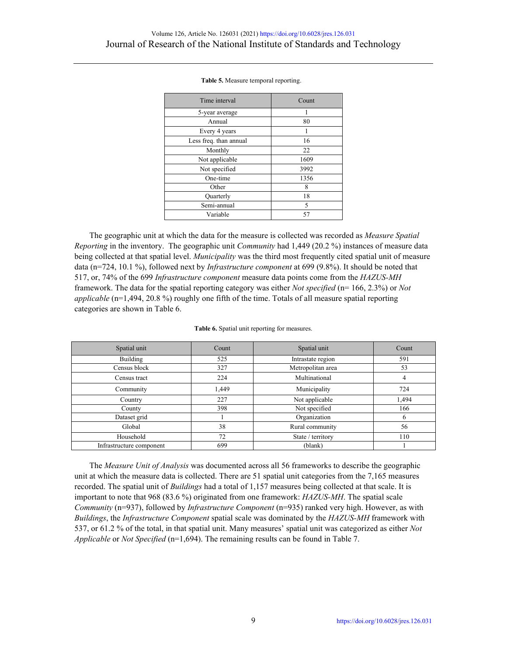| Time interval          | Count |
|------------------------|-------|
| 5-year average         |       |
| Annual                 | 80    |
| Every 4 years          |       |
| Less freq. than annual | 16    |
| Monthly                | 22    |
| Not applicable         | 1609  |
| Not specified          | 3992  |
| One-time               | 1356  |
| Other                  | 8     |
| Quarterly              | 18    |
| Semi-annual            | 5     |
| Variable               | 57    |

**Table 5.** Measure temporal reporting.

The geographic unit at which the data for the measure is collected was recorded as *Measure Spatial Reporting* in the inventory. The geographic unit *Community* had 1,449 (20.2 %) instances of measure data being collected at that spatial level. *Municipality* was the third most frequently cited spatial unit of measure data (n=724, 10.1 %), followed next by *Infrastructure component* at 699 (9.8%). It should be noted that 517, or, 74% of the 699 *Infrastructure component* measure data points come from the *HAZUS-MH* framework. The data for the spatial reporting category was either *Not specified* (n= 166, 2.3%) or *Not applicable* (n=1,494, 20.8 %) roughly one fifth of the time. Totals of all measure spatial reporting categories are shown in Table 6.

| Spatial unit             | Count | Spatial unit      | Count        |
|--------------------------|-------|-------------------|--------------|
| Building                 | 525   | Intrastate region | 591          |
| Census block             | 327   | Metropolitan area | 53           |
| Census tract             | 224   | Multinational     | 4            |
| Community                | 1.449 | Municipality      | 724          |
| Country                  | 227   | Not applicable    | 1,494        |
| County                   | 398   | Not specified     | 166          |
| Dataset grid             |       | Organization      | <sub>(</sub> |
| Global                   | 38    | Rural community   | 56           |
| Household                | 72    | State / territory | 110          |
| Infrastructure component | 699   | (blank)           |              |

|  |  |  |  | Table 6. Spatial unit reporting for measures. |
|--|--|--|--|-----------------------------------------------|
|--|--|--|--|-----------------------------------------------|

The *Measure Unit of Analysis* was documented across all 56 frameworks to describe the geographic unit at which the measure data is collected. There are 51 spatial unit categories from the 7,165 measures recorded. The spatial unit of *Buildings* had a total of 1,157 measures being collected at that scale. It is important to note that 968 (83.6 %) originated from one framework: *HAZUS-MH*. The spatial scale *Community* (n=937), followed by *Infrastructure Component* (n=935) ranked very high. However, as with *Buildings*, the *Infrastructure Component* spatial scale was dominated by the *HAZUS-MH* framework with 537, or 61.2 % of the total, in that spatial unit. Many measures' spatial unit was categorized as either *Not Applicable* or *Not Specified* (n=1,694). The remaining results can be found in Table 7.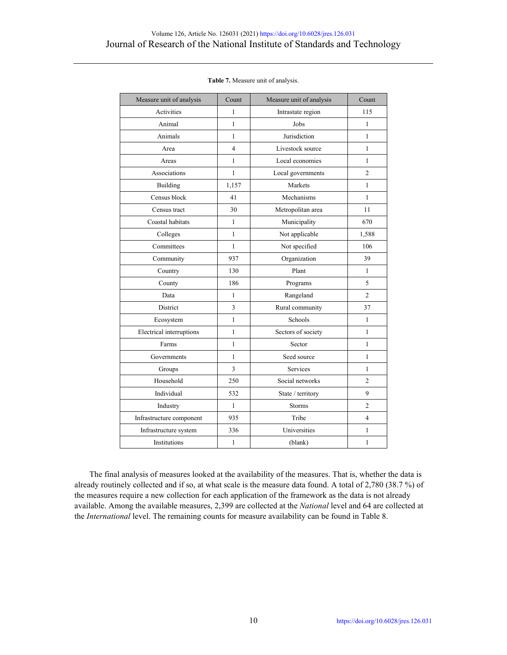| Measure unit of analysis | Count        | Measure unit of analysis | Count          |
|--------------------------|--------------|--------------------------|----------------|
| Activities               | 1            | Intrastate region        | 115            |
| Animal                   | $\mathbf{1}$ | Jobs                     | $\mathbf{1}$   |
| Animals                  | $\mathbf{1}$ | Jurisdiction             | 1              |
| Area                     | 4            | Livestock source         | $\mathbf{1}$   |
| Areas                    | $\mathbf{1}$ | Local economies          | $\mathbf{1}$   |
| Associations             | $\mathbf{1}$ | Local governments        | $\overline{c}$ |
| Building                 | 1,157        | Markets                  | 1              |
| Census block             | 41           | Mechanisms               | $\mathbf{1}$   |
| Census tract             | 30           | Metropolitan area        | 11             |
| Coastal habitats         | 1            | Municipality             | 670            |
| Colleges                 | $\mathbf{1}$ | Not applicable           | 1,588          |
| Committees               | $\mathbf{1}$ | Not specified            | 106            |
| Community                | 937          | Organization             | 39             |
| Country                  | 130          | Plant                    | $\mathbf{1}$   |
| County                   | 186          | Programs                 | 5              |
| Data                     | $\mathbf{1}$ | Rangeland                | $\overline{2}$ |
| District                 | 3            | Rural community          | 37             |
| Ecosystem                | $\mathbf{1}$ | Schools                  | $\mathbf{1}$   |
| Electrical interruptions | $\mathbf{1}$ | Sectors of society       | $\mathbf{1}$   |
| Farms                    | $\mathbf{1}$ | Sector                   | $\mathbf{1}$   |
| Governments              | $\mathbf{1}$ | Seed source              | $\mathbf{1}$   |
| Groups                   | 3            | Services                 | 1              |
| Household                | 250          | Social networks          | $\overline{2}$ |
| Individual               | 532          | State / territory        | 9              |
| Industry                 | $\mathbf{1}$ | <b>Storms</b>            | $\overline{c}$ |
| Infrastructure component | 935          | Tribe                    | $\overline{4}$ |
| Infrastructure system    | 336          | Universities             | $\mathbf{1}$   |
| Institutions             | $\mathbf{1}$ | (blank)                  | $\mathbf{1}$   |

#### **Table 7.** Measure unit of analysis.

The final analysis of measures looked at the availability of the measures. That is, whether the data is already routinely collected and if so, at what scale is the measure data found. A total of 2,780 (38.7 %) of the measures require a new collection for each application of the framework as the data is not already available. Among the available measures, 2,399 are collected at the *National* level and 64 are collected at the *International* level. The remaining counts for measure availability can be found in Table 8.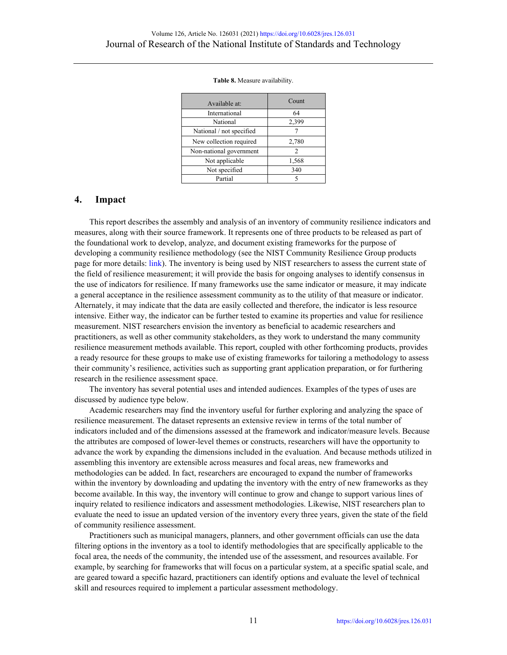| Available at:            | Count |
|--------------------------|-------|
| International            | 64    |
| National                 | 2,399 |
| National / not specified |       |
| New collection required  | 2,780 |
| Non-national government  | 2     |
| Not applicable           | 1,568 |
| Not specified            | 340   |
| Partial                  |       |

#### **Table 8.** Measure availability.

## **4. Impact**

This report describes the assembly and analysis of an inventory of community resilience indicators and measures, along with their source framework. It represents one of three products to be released as part of the foundational work to develop, analyze, and document existing frameworks for the purpose of developing a community resilience methodology (see the NIST Community Resilience Group products page for more details: [link\)](https://www.nist.gov/community-resilience/assessment-products). The inventory is being used by NIST researchers to assess the current state of the field of resilience measurement; it will provide the basis for ongoing analyses to identify consensus in the use of indicators for resilience. If many frameworks use the same indicator or measure, it may indicate a general acceptance in the resilience assessment community as to the utility of that measure or indicator. Alternately, it may indicate that the data are easily collected and therefore, the indicator is less resource intensive. Either way, the indicator can be further tested to examine its properties and value for resilience measurement. NIST researchers envision the inventory as beneficial to academic researchers and practitioners, as well as other community stakeholders, as they work to understand the many community resilience measurement methods available. This report, coupled with other forthcoming products, provides a ready resource for these groups to make use of existing frameworks for tailoring a methodology to assess their community's resilience, activities such as supporting grant application preparation, or for furthering research in the resilience assessment space.

The inventory has several potential uses and intended audiences. Examples of the types of uses are discussed by audience type below.

Academic researchers may find the inventory useful for further exploring and analyzing the space of resilience measurement. The dataset represents an extensive review in terms of the total number of indicators included and of the dimensions assessed at the framework and indicator/measure levels. Because the attributes are composed of lower-level themes or constructs, researchers will have the opportunity to advance the work by expanding the dimensions included in the evaluation. And because methods utilized in assembling this inventory are extensible across measures and focal areas, new frameworks and methodologies can be added. In fact, researchers are encouraged to expand the number of frameworks within the inventory by downloading and updating the inventory with the entry of new frameworks as they become available. In this way, the inventory will continue to grow and change to support various lines of inquiry related to resilience indicators and assessment methodologies. Likewise, NIST researchers plan to evaluate the need to issue an updated version of the inventory every three years, given the state of the field of community resilience assessment.

Practitioners such as municipal managers, planners, and other government officials can use the data filtering options in the inventory as a tool to identify methodologies that are specifically applicable to the focal area, the needs of the community, the intended use of the assessment, and resources available. For example, by searching for frameworks that will focus on a particular system, at a specific spatial scale, and are geared toward a specific hazard, practitioners can identify options and evaluate the level of technical skill and resources required to implement a particular assessment methodology.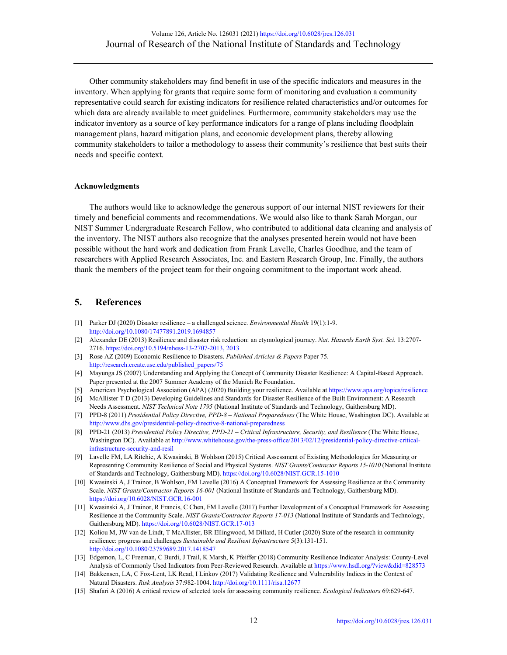Other community stakeholders may find benefit in use of the specific indicators and measures in the inventory. When applying for grants that require some form of monitoring and evaluation a community representative could search for existing indicators for resilience related characteristics and/or outcomes for which data are already available to meet guidelines. Furthermore, community stakeholders may use the indicator inventory as a source of key performance indicators for a range of plans including floodplain management plans, hazard mitigation plans, and economic development plans, thereby allowing community stakeholders to tailor a methodology to assess their community's resilience that best suits their needs and specific context.

#### **Acknowledgments**

The authors would like to acknowledge the generous support of our internal NIST reviewers for their timely and beneficial comments and recommendations. We would also like to thank Sarah Morgan, our NIST Summer Undergraduate Research Fellow, who contributed to additional data cleaning and analysis of the inventory. The NIST authors also recognize that the analyses presented herein would not have been possible without the hard work and dedication from Frank Lavelle, Charles Goodhue, and the team of researchers with Applied Research Associates, Inc. and Eastern Research Group, Inc. Finally, the authors thank the members of the project team for their ongoing commitment to the important work ahead.

# **5. References**

- [1] Parker DJ (2020) Disaster resilience a challenged science. *Environmental Health* 19(1):1-9. <http://doi.org/10.1080/17477891.2019.1694857>
- [2] Alexander DE (2013) Resilience and disaster risk reduction: an etymological journey. *Nat. Hazards Earth Syst. Sci.* 13:2707- 2716. [https://doi.org/10.5194/nhess-13-2707-2013, 2013](https://doi.org/10.5194/nhess-13-2707-2013,%202013)
- [3] Rose AZ (2009) Economic Resilience to Disasters. *Published Articles & Papers* Paper 75. [http://research.create.usc.edu/published\\_papers/75](http://research.create.usc.edu/published_papers/75)
- [4] Mayunga JS (2007) Understanding and Applying the Concept of Community Disaster Resilience: A Capital-Based Approach. Paper presented at the 2007 Summer Academy of the Munich Re Foundation.
- [5] American Psychological Association (APA) (2020) Building your resilience. Available at <https://www.apa.org/topics/resilience>
- [6] McAllister T D (2013) Developing Guidelines and Standards for Disaster Resilience of the Built Environment: A Research Needs Assessment. *NIST Technical Note 1795* (National Institute of Standards and Technology, Gaithersburg MD).
- [7] PPD-8 (2011) *Presidential Policy Directive, PPD-8 – National Preparedness* (The White House, Washington DC). Available at <http://www.dhs.gov/presidential-policy-directive-8-national-preparedness>
- [8] PPD-21 (2013) *Presidential Policy Directive, PPD-21 – Critical Infrastructure, Security, and Resilience* (The White House, Washington DC). Available a[t http://www.whitehouse.gov/the-press-office/2013/02/12/presidential-policy-directive-critical](http://www.whitehouse.gov/the-press-office/2013/02/12/presidential-policy-directive-critical-infrastructure-security-and-resil)[infrastructure-security-and-resil](http://www.whitehouse.gov/the-press-office/2013/02/12/presidential-policy-directive-critical-infrastructure-security-and-resil)
- [9] Lavelle FM, LA Ritchie, A Kwasinski, B Wohlson (2015) Critical Assessment of Existing Methodologies for Measuring or Representing Community Resilience of Social and Physical Systems. *NIST Grants/Contractor Reports 15-1010* (National Institute of Standards and Technology, Gaithersburg MD). <https://doi.org/10.6028/NIST.GCR.15-1010>
- [10] Kwasinski A, J Trainor, B Wohlson, FM Lavelle (2016) A Conceptual Framework for Assessing Resilience at the Community Scale. *NIST Grants/Contractor Reports 16-001* (National Institute of Standards and Technology, Gaithersburg MD). <https://doi.org/10.6028/NIST.GCR.16-001>
- [11] Kwasinski A, J Trainor, R Francis, C Chen, FM Lavelle (2017) Further Development of a Conceptual Framework for Assessing Resilience at the Community Scale. *NIST Grants/Contractor Reports 17-013* (National Institute of Standards and Technology, Gaithersburg MD). <https://doi.org/10.6028/NIST.GCR.17-013>
- [12] Koliou M, JW van de Lindt, T McAllister, BR Ellingwood, M Dillard, H Cutler (2020) State of the research in community resilience: progress and challenges *Sustainable and Resilient Infrastructure* 5(3):131-151. <http://doi.org/10.1080/23789689.2017.1418547>
- [13] Edgemon, L, C Freeman, C Burdi, J Trail, K Marsh, K Pfeiffer (2018) Community Resilience Indicator Analysis: County-Level Analysis of Commonly Used Indicators from Peer-Reviewed Research. Available a[t https://www.hsdl.org/?view&did=828573](https://www.hsdl.org/?view&did=828573)
- [14] Bakkensen, LA, C Fox‐Lent, LK Read, I Linkov (2017) Validating Resilience and Vulnerability Indices in the Context of Natural Disasters. *Risk Analysis* 37:982-1004[. http://doi.org/10.1111/risa.12677](http://doi.org/10.1111/risa.12677)
- [15] Shafari A (2016) A critical review of selected tools for assessing community resilience. *Ecological Indicators* 69:629-647.